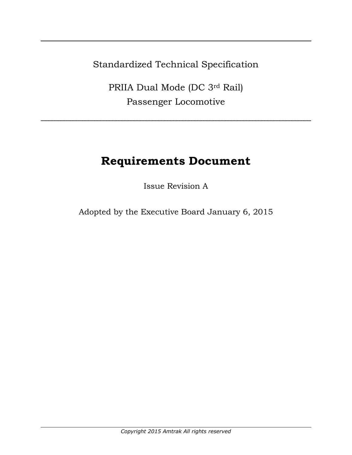Standardized Technical Specification

PRIIA Dual Mode (DC 3rd Rail) Passenger Locomotive

# **Requirements Document**

Issue Revision A

Adopted by the Executive Board January 6, 2015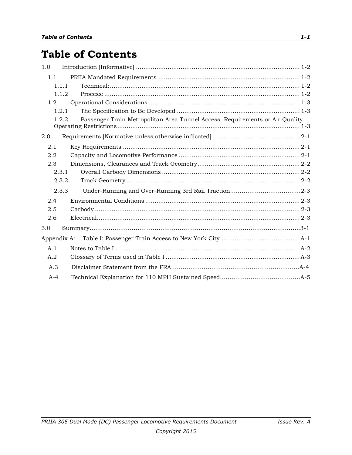# **Table of Contents**

| 1.0              |                                                                                      |  |
|------------------|--------------------------------------------------------------------------------------|--|
| 1.1              |                                                                                      |  |
|                  | 1.1.1                                                                                |  |
|                  | 1.1.2                                                                                |  |
| 1.2 <sub>1</sub> |                                                                                      |  |
|                  | 1.2.1                                                                                |  |
|                  | Passenger Train Metropolitan Area Tunnel Access Requirements or Air Quality<br>1.2.2 |  |
| 2.0              |                                                                                      |  |
| 2.1              |                                                                                      |  |
| 2.2              |                                                                                      |  |
| 2.3              |                                                                                      |  |
|                  | 2.3.1                                                                                |  |
|                  | 2.3.2                                                                                |  |
|                  | 2.3.3                                                                                |  |
| 2.4              |                                                                                      |  |
| 2.5              |                                                                                      |  |
| 2.6              |                                                                                      |  |
| 3.0              |                                                                                      |  |
| Appendix A:      |                                                                                      |  |
| A.1              |                                                                                      |  |
| A.2              |                                                                                      |  |
| A.3              |                                                                                      |  |
| $A-4$            |                                                                                      |  |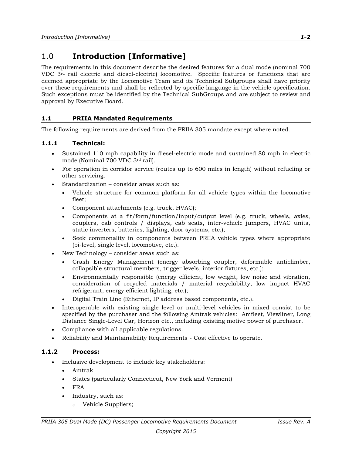# <span id="page-2-0"></span>1.0 **Introduction [Informative]**

The requirements in this document describe the desired features for a dual mode (nominal 700 VDC 3rd rail electric and diesel-electric) locomotive. Specific features or functions that are deemed appropriate by the Locomotive Team and its Technical Subgroups shall have priority over these requirements and shall be reflected by specific language in the vehicle specification. Such exceptions must be identified by the Technical SubGroups and are subject to review and approval by Executive Board.

# <span id="page-2-1"></span>**1.1 PRIIA Mandated Requirements**

The following requirements are derived from the PRIIA 305 mandate except where noted.

# <span id="page-2-2"></span>**1.1.1 Technical:**

- Sustained 110 mph capability in diesel-electric mode and sustained 80 mph in electric mode (Nominal 700 VDC 3rd rail).
- For operation in corridor service (routes up to 600 miles in length) without refueling or other servicing.
- Standardization consider areas such as:
	- Vehicle structure for common platform for all vehicle types within the locomotive fleet;
	- Component attachments (e.g. truck, HVAC);
	- Components at a fit/form/function/input/output level (e.g. truck, wheels, axles, couplers, cab controls / displays, cab seats, inter-vehicle jumpers, HVAC units, static inverters, batteries, lighting, door systems, etc.);
	- Seek commonality in components between PRIIA vehicle types where appropriate (bi-level, single level, locomotive, etc.).
- New Technology consider areas such as:
	- Crash Energy Management (energy absorbing coupler, deformable anticlimber, collapsible structural members, trigger levels, interior fixtures, etc.);
	- Environmentally responsible (energy efficient, low weight, low noise and vibration, consideration of recycled materials / material recyclability, low impact HVAC refrigerant, energy efficient lighting, etc.);
	- Digital Train Line (Ethernet, IP address based components, etc.).
- Interoperable with existing single level or multi-level vehicles in mixed consist to be specified by the purchaser and the following Amtrak vehicles: Amfleet, Viewliner, Long Distance Single-Level Car, Horizon etc., including existing motive power of purchaser.
- Compliance with all applicable regulations.
- Reliability and Maintainability Requirements Cost effective to operate.

# <span id="page-2-3"></span>**1.1.2 Process:**

- Inclusive development to include key stakeholders:
	- Amtrak
	- States (particularly Connecticut, New York and Vermont)
	- FRA
	- Industry, such as:
		- o Vehicle Suppliers;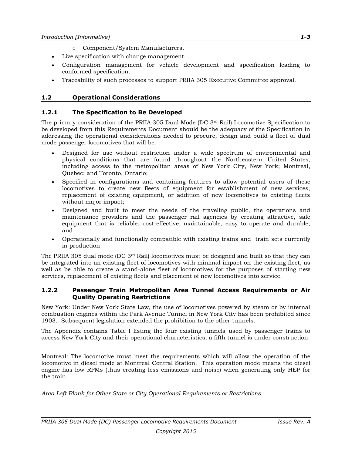- o Component/System Manufacturers.
- Live specification with change management.
- Configuration management for vehicle development and specification leading to conformed specification.
- Traceability of such processes to support PRIIA 305 Executive Committee approval.

### <span id="page-3-0"></span>**1.2 Operational Considerations**

### <span id="page-3-1"></span>**1.2.1 The Specification to Be Developed**

The primary consideration of the PRIIA 305 Dual Mode (DC  $3<sup>rd</sup>$  Rail) Locomotive Specification to be developed from this Requirements Document should be the adequacy of the Specification in addressing the operational considerations needed to procure, design and build a fleet of dual mode passenger locomotives that will be:

- Designed for use without restriction under a wide spectrum of environmental and physical conditions that are found throughout the Northeastern United States, including access to the metropolitan areas of New York City, New York; Montreal, Quebec; and Toronto, Ontario;
- Specified in configurations and containing features to allow potential users of these locomotives to create new fleets of equipment for establishment of new services, replacement of existing equipment, or addition of new locomotives to existing fleets without major impact;
- Designed and built to meet the needs of the traveling public, the operations and maintenance providers and the passenger rail agencies by creating attractive, safe equipment that is reliable, cost-effective, maintainable, easy to operate and durable; and
- Operationally and functionally compatible with existing trains and train sets currently in production

The PRIIA 305 dual mode (DC 3<sup>rd</sup> Rail) locomotives must be designed and built so that they can be integrated into an existing fleet of locomotives with minimal impact on the existing fleet, as well as be able to create a stand-alone fleet of locomotives for the purposes of starting new services, replacement of existing fleets and placement of new locomotives into service.

#### <span id="page-3-2"></span>**1.2.2 Passenger Train Metropolitan Area Tunnel Access Requirements or Air Quality Operating Restrictions**

New York: Under New York State Law, the use of locomotives powered by steam or by internal combustion engines within the Park Avenue Tunnel in New York City has been prohibited since 1903. Subsequent legislation extended the prohibition to the other tunnels.

The Appendix contains Table I listing the four existing tunnels used by passenger trains to access New York City and their operational characteristics; a fifth tunnel is under construction.

Montreal: The locomotive must meet the requirements which will allow the operation of the locomotive in diesel mode at Montreal Central Station. This operation mode means the diesel engine has low RPMs (thus creating less emissions and noise) when generating only HEP for the train.

*Area Left Blank for Other State or City Operational Requirements or Restrictions*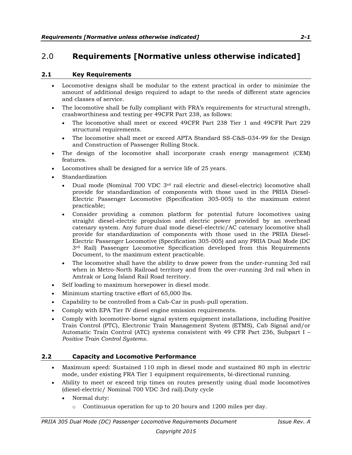# <span id="page-4-0"></span>2.0 **Requirements [Normative unless otherwise indicated]**

#### <span id="page-4-1"></span>**2.1 Key Requirements**

- Locomotive designs shall be modular to the extent practical in order to minimize the amount of additional design required to adapt to the needs of different state agencies and classes of service.
- The locomotive shall be fully compliant with FRA's requirements for structural strength, crashworthiness and testing per 49CFR Part 238, as follows:
	- The locomotive shall meet or exceed 49CFR Part 238 Tier 1 and 49CFR Part 229 structural requirements.
	- The locomotive shall meet or exceed APTA Standard SS-C&S-034-99 for the Design and Construction of Passenger Rolling Stock.
- The design of the locomotive shall incorporate crash energy management (CEM) features.
- Locomotives shall be designed for a service life of 25 years.
- Standardization
	- Dual mode (Nominal 700 VDC 3rd rail electric and diesel-electric) locomotive shall provide for standardization of components with those used in the PRIIA Diesel-Electric Passenger Locomotive (Specification 305-005) to the maximum extent practicable;
	- Consider providing a common platform for potential future locomotives using straight diesel-electric propulsion and electric power provided by an overhead catenary system. Any future dual mode diesel-electric/AC catenary locomotive shall provide for standardization of components with those used in the PRIIA Diesel-Electric Passenger Locomotive (Specification 305-005) and any PRIIA Dual Mode (DC 3rd Rail) Passenger Locomotive Specification developed from this Requirements Document, to the maximum extent practicable.
	- The locomotive shall have the ability to draw power from the under-running 3rd rail when in Metro-North Railroad territory and from the over-running 3rd rail when in Amtrak or Long Island Rail Road territory.
- Self loading to maximum horsepower in diesel mode.
- Minimum starting tractive effort of 65,000 lbs.
- Capability to be controlled from a Cab-Car in push-pull operation.
- Comply with EPA Tier IV diesel engine emission requirements.
- Comply with locomotive-borne signal system equipment installations, including Positive Train Control (PTC), Electronic Train Management System (ETMS), Cab Signal and/or Automatic Train Control (ATC) systems consistent with 49 CFR Part 236, Subpart I – *Positive Train Control Systems*.

#### <span id="page-4-2"></span>**2.2 Capacity and Locomotive Performance**

- Maximum speed: Sustained 110 mph in diesel mode and sustained 80 mph in electric mode, under existing FRA Tier 1 equipment requirements, bi-directional running.
- Ability to meet or exceed trip times on routes presently using dual mode locomotives (diesel-electric/ Nominal 700 VDC 3rd rail).Duty cycle
	- Normal duty:
		- $\circ$  Continuous operation for up to 20 hours and 1200 miles per day.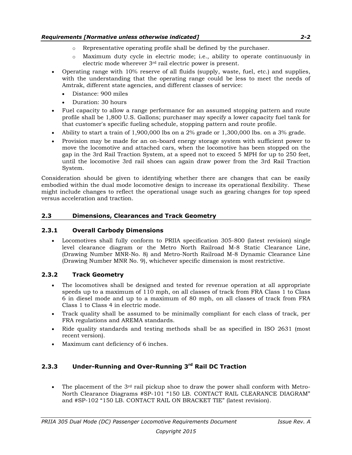- o Representative operating profile shall be defined by the purchaser.
- o Maximum duty cycle in electric mode; i.e., ability to operate continuously in electric mode wherever 3rd rail electric power is present.
- Operating range with 10% reserve of all fluids (supply, waste, fuel, etc.) and supplies, with the understanding that the operating range could be less to meet the needs of Amtrak, different state agencies, and different classes of service:
	- Distance: 900 miles
	- Duration: 30 hours
- Fuel capacity to allow a range performance for an assumed stopping pattern and route profile shall be 1,800 U.S. Gallons; purchaser may specify a lower capacity fuel tank for that customer's specific fueling schedule, stopping pattern and route profile.
- Ability to start a train of 1,900,000 lbs on a 2% grade or 1,300,000 lbs. on a 3% grade.
- Provision may be made for an on-board energy storage system with sufficient power to move the locomotive and attached cars, when the locomotive has been stopped on the gap in the 3rd Rail Traction System, at a speed not to exceed 5 MPH for up to 250 feet, until the locomotive 3rd rail shoes can again draw power from the 3rd Rail Traction System.

Consideration should be given to identifying whether there are changes that can be easily embodied within the dual mode locomotive design to increase its operational flexibility. These might include changes to reflect the operational usage such as gearing changes for top speed versus acceleration and traction.

#### <span id="page-5-0"></span>**2.3 Dimensions, Clearances and Track Geometry**

#### <span id="page-5-1"></span>**2.3.1 Overall Carbody Dimensions**

 Locomotives shall fully conform to PRIIA specification 305-800 (latest revision) single level clearance diagram or the Metro North Railroad M-8 Static Clearance Line, (Drawing Number MNR-No. 8) and Metro-North Railroad M-8 Dynamic Clearance Line (Drawing Number MNR No. 9), whichever specific dimension is most restrictive.

#### <span id="page-5-2"></span>**2.3.2 Track Geometry**

- The locomotives shall be designed and tested for revenue operation at all appropriate speeds up to a maximum of 110 mph, on all classes of track from FRA Class 1 to Class 6 in diesel mode and up to a maximum of 80 mph, on all classes of track from FRA Class 1 to Class 4 in electric mode.
- Track quality shall be assumed to be minimally compliant for each class of track, per FRA regulations and AREMA standards.
- Ride quality standards and testing methods shall be as specified in ISO 2631 (most recent version).
- Maximum cant deficiency of 6 inches.

# **2.3.3 Under-Running and Over-Running 3rd Rail DC Traction**

The placement of the  $3<sup>rd</sup>$  rail pickup shoe to draw the power shall conform with Metro-North Clearance Diagrams #SP-101 "150 LB. CONTACT RAIL CLEARANCE DIAGRAM" and #SP-102 "150 LB. CONTACT RAIL ON BRACKET TIE" (latest revision).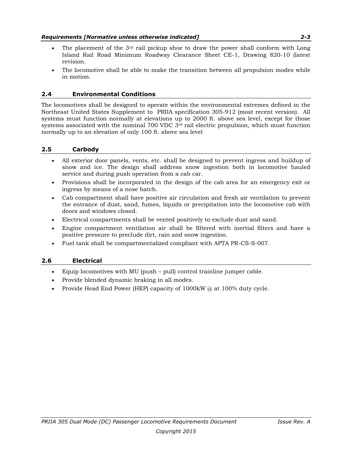- The placement of the  $3<sup>rd</sup>$  rail pickup shoe to draw the power shall conform with Long Island Rail Road Minimum Roadway Clearance Sheet CE-1, Drawing 820-10 (latest revision.
- The locomotive shall be able to make the transition between all propulsion modes while in motion.

## <span id="page-6-0"></span>**2.4 Environmental Conditions**

The locomotives shall be designed to operate within the environmental extremes defined in the Northeast United States Supplement to PRIIA specification 305-912 (most recent version). All systems must function normally at elevations up to 2000 ft. above sea level, except for those systems associated with the nominal 700 VDC  $3<sup>rd</sup>$  rail electric propulsion, which must function normally up to an elevation of only 100 ft. above sea level

### <span id="page-6-1"></span>**2.5 Carbody**

- All exterior door panels, vents, etc. shall be designed to prevent ingress and buildup of snow and ice. The design shall address snow ingestion both in locomotive hauled service and during push operation from a cab car.
- Provisions shall be incorporated in the design of the cab area for an emergency exit or ingress by means of a nose hatch.
- Cab compartment shall have positive air circulation and fresh air ventilation to prevent the entrance of dust, sand, fumes, liquids or precipitation into the locomotive cab with doors and windows closed.
- Electrical compartments shall be vented positively to exclude dust and sand.
- Engine compartment ventilation air shall be filtered with inertial filters and have a positive pressure to preclude dirt, rain and snow ingestion.
- Fuel tank shall be compartmentalized compliant with APTA PR-CS-S-007.

#### <span id="page-6-2"></span>**2.6 Electrical**

- Equip locomotives with MU (push pull) control trainline jumper cable.
- Provide blended dynamic braking in all modes.
- Provide Head End Power (HEP) capacity of  $1000 \text{kW}$  @ at  $100\%$  duty cycle.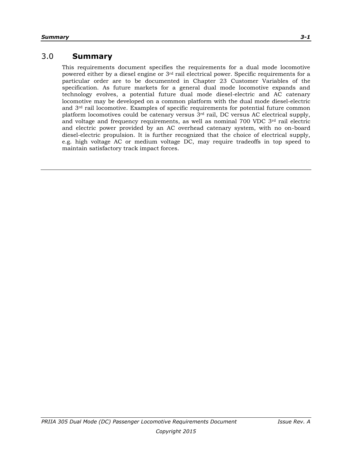# 3.0 **Summary**

This requirements document specifies the requirements for a dual mode locomotive powered either by a diesel engine or 3rd rail electrical power. Specific requirements for a particular order are to be documented in Chapter 23 Customer Variables of the specification. As future markets for a general dual mode locomotive expands and technology evolves, a potential future dual mode diesel-electric and AC catenary locomotive may be developed on a common platform with the dual mode diesel-electric and 3rd rail locomotive. Examples of specific requirements for potential future common platform locomotives could be catenary versus  $3<sup>rd</sup>$  rail, DC versus AC electrical supply, and voltage and frequency requirements, as well as nominal 700 VDC 3rd rail electric and electric power provided by an AC overhead catenary system, with no on-board diesel-electric propulsion. It is further recognized that the choice of electrical supply, e.g. high voltage AC or medium voltage DC, may require tradeoffs in top speed to maintain satisfactory track impact forces.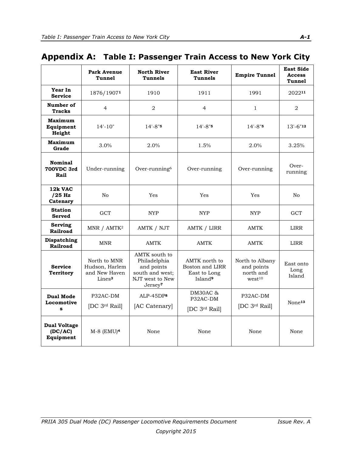# <span id="page-8-0"></span>**Appendix A: Table I: Passenger Train Access to New York City**

|                                             | <b>Park Avenue</b><br><b>Tunnel</b>                                   | <b>North River</b><br><b>Tunnels</b>                                                                     | <b>East River</b><br>Tunnels                                            | <b>Empire Tunnel</b>                                             | <b>East Side</b><br><b>Access</b><br><b>Tunnel</b> |
|---------------------------------------------|-----------------------------------------------------------------------|----------------------------------------------------------------------------------------------------------|-------------------------------------------------------------------------|------------------------------------------------------------------|----------------------------------------------------|
| Year In<br><b>Service</b>                   | 1876/19071                                                            | 1910                                                                                                     | 1911                                                                    | 1991                                                             | 202211                                             |
| Number of<br><b>Tracks</b>                  | $\overline{4}$                                                        | $\overline{2}$                                                                                           | $\overline{4}$                                                          | $\mathbf{1}$                                                     | $\overline{2}$                                     |
| Maximum<br>Equipment<br>Height              | $14' - 10'$                                                           | $14 - 8"$ <sup>5</sup>                                                                                   | $14 - 8.5$                                                              | $14' - 8''$                                                      | $13'-6''''2$                                       |
| <b>Maximum</b><br>Grade                     | 3.0%                                                                  | 2.0%                                                                                                     | 1.5%                                                                    | 2.0%                                                             | 3.25%                                              |
| Nominal<br>700VDC 3rd<br>Rail               | Under-running                                                         | Over-running <sup>6</sup>                                                                                | Over-running                                                            | Over-running                                                     | Over-<br>running                                   |
| 12k VAC<br>$/25$ Hz<br>Catenary             | No                                                                    | Yes                                                                                                      | Yes                                                                     | Yes                                                              | No                                                 |
| <b>Station</b><br><b>Served</b>             | <b>GCT</b>                                                            | <b>NYP</b>                                                                                               | <b>NYP</b>                                                              | <b>NYP</b>                                                       | <b>GCT</b>                                         |
| Serving<br>Railroad                         | MNR / AMTK <sup>2</sup>                                               | AMTK / NJT                                                                                               | <b>AMTK / LIRR</b>                                                      | <b>AMTK</b>                                                      | <b>LIRR</b>                                        |
| <b>Dispatching</b><br>Railroad              | <b>MNR</b>                                                            | <b>AMTK</b>                                                                                              | <b>AMTK</b>                                                             | <b>AMTK</b>                                                      | LIRR                                               |
| <b>Service</b><br><b>Territory</b>          | North to MNR<br>Hudson, Harlem<br>and New Haven<br>Lines <sup>3</sup> | AMTK south to<br>Philadelphia<br>and points<br>south and west;<br>NJT west to New<br>Jersey <sup>7</sup> | AMTK north to<br>Boston and LIRR<br>East to Long<br>Island <sup>9</sup> | North to Albany<br>and points<br>north and<br>west <sup>10</sup> | East onto<br>Long<br>Island                        |
| <b>Dual Mode</b><br>Locomotive<br>s         | P32AC-DM<br>[DC 3rd Rail]                                             | $ALP-45DP8$<br>[AC Catenary]                                                                             | DM30AC &<br>P32AC-DM<br>[DC 3rd Rail]                                   | P32AC-DM<br>[DC 3rd Rail]                                        | None <sup>13</sup>                                 |
| <b>Dual Voltage</b><br>(DC/AC)<br>Equipment | $M-8$ (EMU) <sup>4</sup>                                              | None                                                                                                     | None                                                                    | None                                                             | None                                               |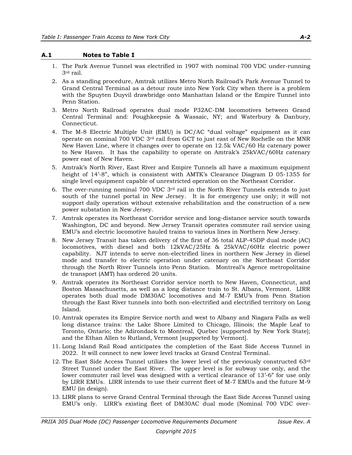#### <span id="page-9-0"></span>**A.1 Notes to Table I**

- 1. The Park Avenue Tunnel was electrified in 1907 with nominal 700 VDC under-running 3rd rail.
- 2. As a standing procedure, Amtrak utilizes Metro North Railroad's Park Avenue Tunnel to Grand Central Terminal as a detour route into New York City when there is a problem with the Spuyten Duyvil drawbridge onto Manhattan Island or the Empire Tunnel into Penn Station.
- 3. Metro North Railroad operates dual mode P32AC-DM locomotives between Grand Central Terminal and: Poughkeepsie & Wassaic, NY; and Waterbury & Danbury, Connecticut.
- 4. The M-8 Electric Multiple Unit (EMU) is DC/AC "dual voltage" equipment as it can operate on nominal 700 VDC 3rd rail from GCT to just east of New Rochelle on the MNR New Haven Line, where it changes over to operate on 12.5k VAC/60 Hz catenary power to New Haven. It has the capability to operate on Amtrak's 25kVAC/60Hz catenary power east of New Haven.
- 5. Amtrak's North River, East River and Empire Tunnels all have a maximum equipment height of 14'-8", which is consistent with AMTK's Clearance Diagram D 05-1355 for single level equipment capable of unrestricted operation on the Northeast Corridor.
- 6. The over-running nominal 700 VDC  $3<sup>rd</sup>$  rail in the North River Tunnels extends to just south of the tunnel portal in New Jersey. It is for emergency use only; it will not support daily operation without extensive rehabilitation and the construction of a new power substation in New Jersey.
- 7. Amtrak operates its Northeast Corridor service and long-distance service south towards Washington, DC and beyond. New Jersey Transit operates commuter rail service using EMU's and electric locomotive hauled trains to various lines in Northern New Jersey.
- 8. New Jersey Transit has taken delivery of the first of 36 total ALP-45DP dual mode (AC) locomotives, with diesel and both 12kVAC/25Hz & 25kVAC/60Hz electric power capability. NJT intends to serve non-electrified lines in northern New Jersey in diesel mode and transfer to electric operation under catenary on the Northeast Corridor through the North River Tunnels into Penn Station. Montreal's Agence metropolitaine de transport (AMT) has ordered 20 units.
- 9. Amtrak operates its Northeast Corridor service north to New Haven, Connecticut, and Boston Massachusetts, as well as a long distance train to St. Albans, Vermont. LIRR operates both dual mode DM30AC locomotives and M-7 EMU's from Penn Station through the East River tunnels into both non-electrified and electrified territory on Long Island.
- 10. Amtrak operates its Empire Service north and west to Albany and Niagara Falls as well long distance trains: the Lake Shore Limited to Chicago, Illinois; the Maple Leaf to Toronto, Ontario; the Adirondack to Montreal, Quebec [supported by New York State]; and the Ethan Allen to Rutland, Vermont [supported by Vermont].
- 11. Long Island Rail Road anticipates the completion of the East Side Access Tunnel in 2022. It will connect to new lower level tracks at Grand Central Terminal.
- 12. The East Side Access Tunnel utilizes the lower level of the previously constructed 63rd Street Tunnel under the East River. The upper level is for subway use only, and the lower commuter rail level was designed with a vertical clearance of 13'-6" for use only by LIRR EMUs. LIRR intends to use their current fleet of M-7 EMUs and the future M-9 EMU (in design).
- 13. LIRR plans to serve Grand Central Terminal through the East Side Access Tunnel using EMU's only. LIRR's existing fleet of DM30AC dual mode (Nominal 700 VDC over-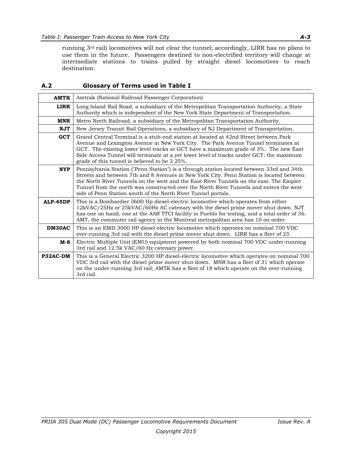running 3rd rail) locomotives will not clear the tunnel; accordingly, LIRR has no plans to use them in the future. Passengers destined to non-electrified territory will change at intermediate stations to trains pulled by straight diesel locomotives to reach destination.

#### <span id="page-10-0"></span>**A.2 Glossary of Terms used in Table I**

| <b>AMTK</b> | Amtrak (National Railroad Passenger Corporation)                                                                                                                                                                                                                                                                                                                                                                                         |  |  |  |
|-------------|------------------------------------------------------------------------------------------------------------------------------------------------------------------------------------------------------------------------------------------------------------------------------------------------------------------------------------------------------------------------------------------------------------------------------------------|--|--|--|
| <b>LIRR</b> | Long Island Rail Road, a subsidiary of the Metropolitan Transportation Authority, a State<br>Authority which is independent of the New York State Department of Transportation.                                                                                                                                                                                                                                                          |  |  |  |
| <b>MNR</b>  | Metro North Railroad, a subsidiary of the Metropolitan Transportation Authority.                                                                                                                                                                                                                                                                                                                                                         |  |  |  |
| <b>NJT</b>  | New Jersey Transit Rail Operations, a subsidiary of NJ Department of Transportation.                                                                                                                                                                                                                                                                                                                                                     |  |  |  |
| <b>GCT</b>  | Grand Central Terminal is a stub-end station at located at 42nd Street between Park<br>Avenue and Lexington Avenue in New York City. The Park Avenue Tunnel terminates at<br>GCT. The existing lower level tracks at GCT have a maximum grade of 3%. The new East<br>Side Access Tunnel will terminate at a yet lower level of tracks under GCT; the maximum<br>grade of this tunnel is believed to be 3.25%.                            |  |  |  |
| <b>NYP</b>  | Pennsylvania Station ("Penn Station") is a through station located between 33rd and 34th<br>Streets and between 7th and 8 Avenues in New York City. Penn Station is located between<br>the North River Tunnels on the west and the East River Tunnels on the east. The Empire<br>Tunnel from the north was constructed over the North River Tunnels and enters the west<br>side of Penn Station south of the North River Tunnel portals. |  |  |  |
| ALP-45DP    | This is a Bombardier 3600 Hp diesel-electric locomotive which operates from either<br>12kVAC/25Hz or 25kVAC/60Hz AC catenary with the diesel prime mover shut down. NJT<br>has one on hand, one at the AAR TTCI facility in Pueblo for testing, and a total order of 36.<br>AMT, the commuter rail agency in the Montreal metropolitan area has 10 on order.                                                                             |  |  |  |
| DM30AC      | This is an EMD 3000 HP diesel-electric locomotive which operates on nominal 700 VDC<br>over-running 3rd rail with the diesel prime mover shut down. LIRR has a fleet of 23.                                                                                                                                                                                                                                                              |  |  |  |
| M-8         | Electric Multiple Unit (EMU) equipment powered by both nominal 700 VDC under-running<br>3rd rail and 12.5k VAC/60 Hz catenary power.                                                                                                                                                                                                                                                                                                     |  |  |  |
| P32AC-DM    | This is a General Electric 3200 HP diesel-electric locomotive which operates on nominal 700<br>VDC 3rd rail with the diesel prime mover shut down. MNR has a fleet of 31 which operate<br>on the under-running 3rd rail; AMTK has a fleet of 18 which operate on the over-running<br>3rd rail.                                                                                                                                           |  |  |  |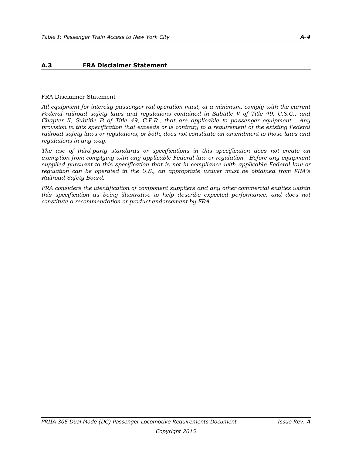#### **A.3 FRA Disclaimer Statement**

#### FRA Disclaimer Statement

*All equipment for intercity passenger rail operation must, at a minimum, comply with the current Federal railroad safety laws and regulations contained in Subtitle V of Title 49, U.S.C., and Chapter II, Subtitle B of Title 49, C.F.R., that are applicable to passenger equipment. Any provision in this specification that exceeds or is contrary to a requirement of the existing Federal railroad safety laws or regulations, or both, does not constitute an amendment to those laws and regulations in any way.*

*The use of third-party standards or specifications in this specification does not create an exemption from complying with any applicable Federal law or regulation. Before any equipment supplied pursuant to this specification that is not in compliance with applicable Federal law or regulation can be operated in the U.S., an appropriate waiver must be obtained from FRA's Railroad Safety Board.*

*FRA considers the identification of component suppliers and any other commercial entities within this specification as being illustrative to help describe expected performance, and does not constitute a recommendation or product endorsement by FRA.*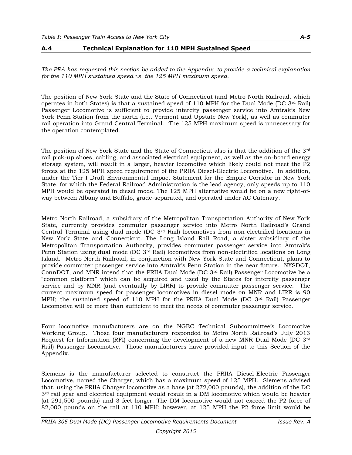#### **A.4 Technical Explanation for 110 MPH Sustained Speed**

*The FRA has requested this section be added to the Appendix, to provide a technical explanation for the 110 MPH sustained speed vs. the 125 MPH maximum speed.*

The position of New York State and the State of Connecticut (and Metro North Railroad, which operates in both States) is that a sustained speed of 110 MPH for the Dual Mode (DC  $3<sup>rd</sup>$  Rail) Passenger Locomotive is sufficient to provide intercity passenger service into Amtrak's New York Penn Station from the north (i.e., Vermont and Upstate New York), as well as commuter rail operation into Grand Central Terminal. The 125 MPH maximum speed is unnecessary for the operation contemplated.

The position of New York State and the State of Connecticut also is that the addition of the 3rd rail pick-up shoes, cabling, and associated electrical equipment, as well as the on-board energy storage system, will result in a larger, heavier locomotive which likely could not meet the P2 forces at the 125 MPH speed requirement of the PRIIA Diesel-Electric Locomotive. In addition, under the Tier I Draft Environmental Impact Statement for the Empire Corridor in New York State, for which the Federal Railroad Administration is the lead agency, only speeds up to 110 MPH would be operated in diesel mode. The 125 MPH alternative would be on a new right-ofway between Albany and Buffalo, grade-separated, and operated under AC Catenary.

Metro North Railroad, a subsidiary of the Metropolitan Transportation Authority of New York State, currently provides commuter passenger service into Metro North Railroad's Grand Central Terminal using dual mode (DC 3rd Rail) locomotives from non-electrified locations in New York State and Connecticut. The Long Island Rail Road, a sister subsidiary of the Metropolitan Transportation Authority, provides commuter passenger service into Amtrak's Penn Station using dual mode (DC  $3<sup>rd</sup>$  Rail) locomotives from non-electrified locations on Long Island. Metro North Railroad, in conjunction with New York State and Connecticut, plans to provide commuter passenger service into Amtrak's Penn Station in the near future. NYSDOT, ConnDOT, and MNR intend that the PRIIA Dual Mode (DC  $3<sup>rd</sup>$  Rail) Passenger Locomotive be a "common platform" which can be acquired and used by the States for intercity passenger service and by MNR (and eventually by LIRR) to provide commuter passenger service. The current maximum speed for passenger locomotives in diesel mode on MNR and LIRR is 90 MPH; the sustained speed of 110 MPH for the PRIIA Dual Mode (DC 3rd Rail) Passenger Locomotive will be more than sufficient to meet the needs of commuter passenger service.

Four locomotive manufacturers are on the NGEC Technical Subcommittee's Locomotive Working Group. Those four manufacturers responded to Metro North Railroad's July 2013 Request for Information (RFI) concerning the development of a new MNR Dual Mode (DC 3rd Rail) Passenger Locomotive. Those manufacturers have provided input to this Section of the Appendix.

Siemens is the manufacturer selected to construct the PRIIA Diesel-Electric Passenger Locomotive, named the Charger, which has a maximum speed of 125 MPH. Siemens advised that, using the PRIIA Charger locomotive as a base (at 272,000 pounds), the addition of the DC  $3<sup>rd</sup>$  rail gear and electrical equipment would result in a DM locomotive which would be heavier (at 291,500 pounds) and 3 feet longer. The DM locomotive would not exceed the P2 force of 82,000 pounds on the rail at 110 MPH; however, at 125 MPH the P2 force limit would be